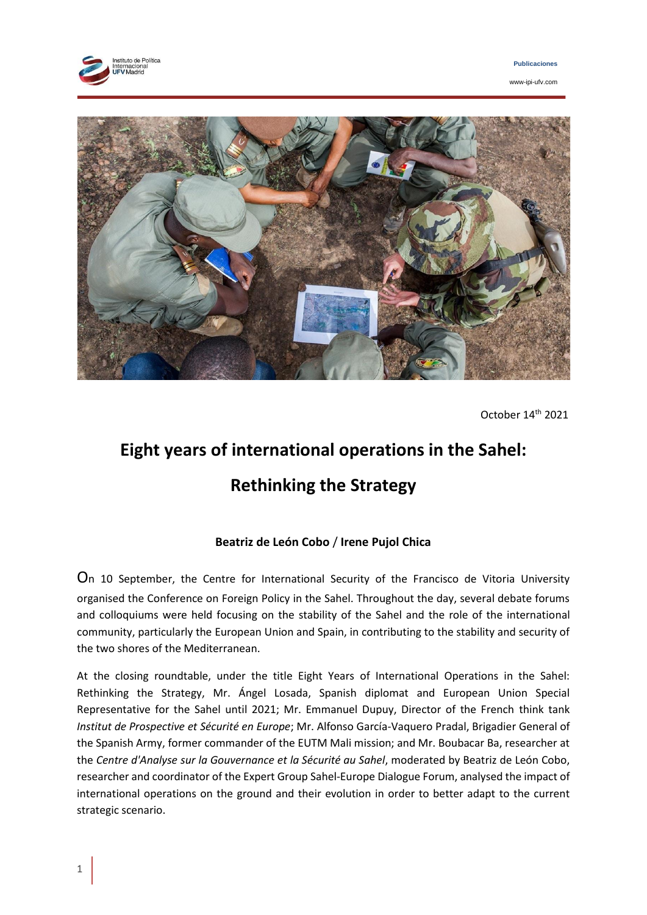



www-ipi-ufv.com



October 14th 2021

# **Eight years of international operations in the Sahel: Rethinking the Strategy**

# **Beatriz de León Cobo** / **Irene Pujol Chica**

On 10 September, the Centre for International Security of the Francisco de Vitoria University organised the Conference on Foreign Policy in the Sahel. Throughout the day, several debate forums and colloquiums were held focusing on the stability of the Sahel and the role of the international community, particularly the European Union and Spain, in contributing to the stability and security of the two shores of the Mediterranean.

At the closing roundtable, under the title Eight Years of International Operations in the Sahel: Rethinking the Strategy, Mr. Ángel Losada, Spanish diplomat and European Union Special Representative for the Sahel until 2021; Mr. Emmanuel Dupuy, Director of the French think tank *Institut de Prospective et Sécurité en Europe*; Mr. Alfonso García-Vaquero Pradal, Brigadier General of the Spanish Army, former commander of the EUTM Mali mission; and Mr. Boubacar Ba, researcher at the *Centre d'Analyse sur la Gouvernance et la Sécurité au Sahel*, moderated by Beatriz de León Cobo, researcher and coordinator of the Expert Group Sahel-Europe Dialogue Forum, analysed the impact of international operations on the ground and their evolution in order to better adapt to the current strategic scenario.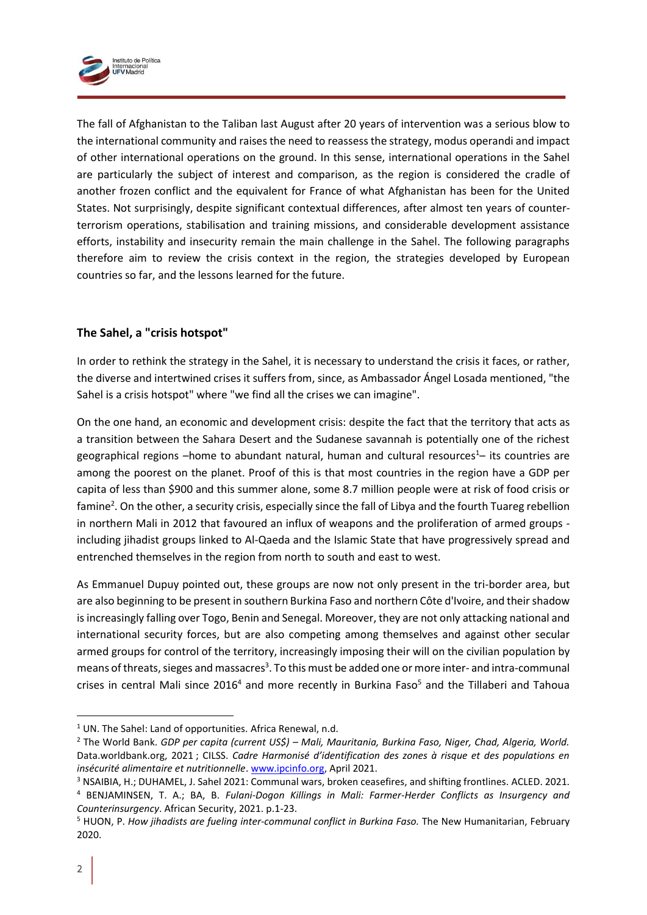

The fall of Afghanistan to the Taliban last August after 20 years of intervention was a serious blow to the international community and raises the need to reassess the strategy, modus operandi and impact of other international operations on the ground. In this sense, international operations in the Sahel are particularly the subject of interest and comparison, as the region is considered the cradle of another frozen conflict and the equivalent for France of what Afghanistan has been for the United States. Not surprisingly, despite significant contextual differences, after almost ten years of counterterrorism operations, stabilisation and training missions, and considerable development assistance efforts, instability and insecurity remain the main challenge in the Sahel. The following paragraphs therefore aim to review the crisis context in the region, the strategies developed by European countries so far, and the lessons learned for the future.

## **The Sahel, a "crisis hotspot"**

In order to rethink the strategy in the Sahel, it is necessary to understand the crisis it faces, or rather, the diverse and intertwined crises it suffers from, since, as Ambassador Ángel Losada mentioned, "the Sahel is a crisis hotspot" where "we find all the crises we can imagine".

On the one hand, an economic and development crisis: despite the fact that the territory that acts as a transition between the Sahara Desert and the Sudanese savannah is potentially one of the richest geographical regions –home to abundant natural, human and cultural resources<sup>1</sup>– its countries are among the poorest on the planet. Proof of this is that most countries in the region have a GDP per capita of less than \$900 and this summer alone, some 8.7 million people were at risk of food crisis or famine<sup>2</sup>. On the other, a security crisis, especially since the fall of Libya and the fourth Tuareg rebellion in northern Mali in 2012 that favoured an influx of weapons and the proliferation of armed groups including jihadist groups linked to Al-Qaeda and the Islamic State that have progressively spread and entrenched themselves in the region from north to south and east to west.

As Emmanuel Dupuy pointed out, these groups are now not only present in the tri-border area, but are also beginning to be present in southern Burkina Faso and northern Côte d'Ivoire, and their shadow is increasingly falling over Togo, Benin and Senegal. Moreover, they are not only attacking national and international security forces, but are also competing among themselves and against other secular armed groups for control of the territory, increasingly imposing their will on the civilian population by means of threats, sieges and massacres<sup>3</sup>. To this must be added one or more inter- and intra-communal crises in central Mali since 2016<sup>4</sup> and more recently in Burkina Faso<sup>5</sup> and the Tillaberi and Tahoua

 $1$  UN. The Sahel: Land of opportunities. Africa Renewal, n.d.

<sup>2</sup> The World Bank. *GDP per capita (current US\$) – Mali, Mauritania, Burkina Faso, Niger, Chad, Algeria, World.*  Data.worldbank.org, 2021 ; CILSS. *Cadre Harmonisé d'identification des zones à risque et des populations en insécurité alimentaire et nutritionnelle*. [www.ipcinfo.org,](http://www.ipcinfo.org/) April 2021.

<sup>3</sup> NSAIBIA, H.; DUHAMEL, J. Sahel 2021: Communal wars, broken ceasefires, and shifting frontlines. ACLED. 2021. <sup>4</sup> BENJAMINSEN, T. A.; BA, B. *Fulani-Dogon Killings in Mali: Farmer-Herder Conflicts as Insurgency and Counterinsurgency*. African Security, 2021. p.1-23.

<sup>5</sup> HUON, P. *How jihadists are fueling inter-communal conflict in Burkina Faso.* The New Humanitarian, February 2020.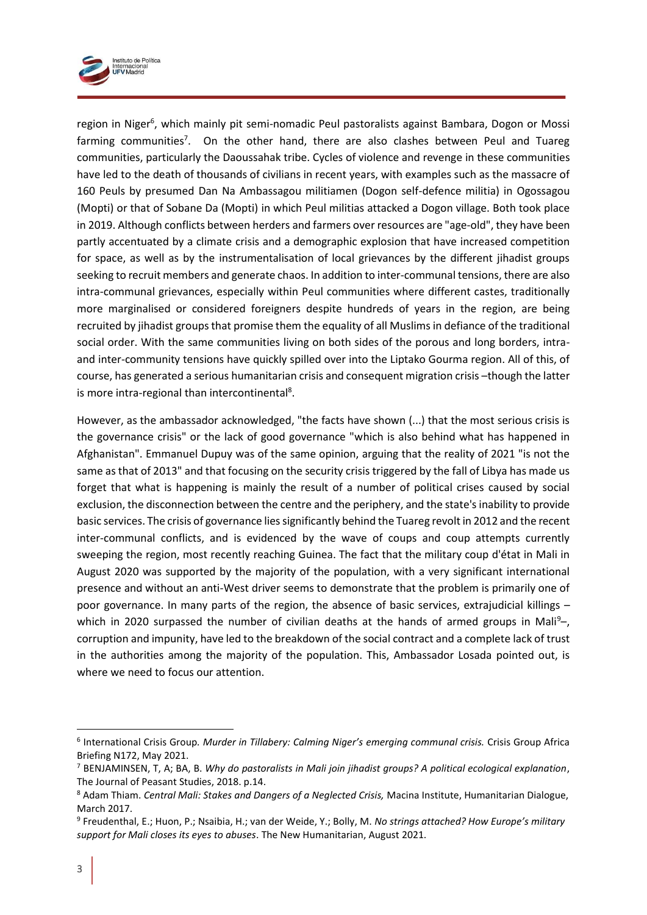

region in Niger<sup>6</sup>, which mainly pit semi-nomadic Peul pastoralists against Bambara, Dogon or Mossi farming communities<sup>7</sup>. On the other hand, there are also clashes between Peul and Tuareg communities, particularly the Daoussahak tribe. Cycles of violence and revenge in these communities have led to the death of thousands of civilians in recent years, with examples such as the massacre of 160 Peuls by presumed Dan Na Ambassagou militiamen (Dogon self-defence militia) in Ogossagou (Mopti) or that of Sobane Da (Mopti) in which Peul militias attacked a Dogon village. Both took place in 2019. Although conflicts between herders and farmers over resources are "age-old", they have been partly accentuated by a climate crisis and a demographic explosion that have increased competition for space, as well as by the instrumentalisation of local grievances by the different jihadist groups seeking to recruit members and generate chaos. In addition to inter-communal tensions, there are also intra-communal grievances, especially within Peul communities where different castes, traditionally more marginalised or considered foreigners despite hundreds of years in the region, are being recruited by jihadist groups that promise them the equality of all Muslims in defiance of the traditional social order. With the same communities living on both sides of the porous and long borders, intraand inter-community tensions have quickly spilled over into the Liptako Gourma region. All of this, of course, has generated a serious humanitarian crisis and consequent migration crisis –though the latter is more intra-regional than intercontinental<sup>8</sup>.

However, as the ambassador acknowledged, "the facts have shown (...) that the most serious crisis is the governance crisis" or the lack of good governance "which is also behind what has happened in Afghanistan". Emmanuel Dupuy was of the same opinion, arguing that the reality of 2021 "is not the same as that of 2013" and that focusing on the security crisis triggered by the fall of Libya has made us forget that what is happening is mainly the result of a number of political crises caused by social exclusion, the disconnection between the centre and the periphery, and the state's inability to provide basic services. The crisis of governance lies significantly behind the Tuareg revolt in 2012 and the recent inter-communal conflicts, and is evidenced by the wave of coups and coup attempts currently sweeping the region, most recently reaching Guinea. The fact that the military coup d'état in Mali in August 2020 was supported by the majority of the population, with a very significant international presence and without an anti-West driver seems to demonstrate that the problem is primarily one of poor governance. In many parts of the region, the absence of basic services, extrajudicial killings – which in 2020 surpassed the number of civilian deaths at the hands of armed groups in Mali<sup>9</sup>corruption and impunity, have led to the breakdown of the social contract and a complete lack of trust in the authorities among the majority of the population. This, Ambassador Losada pointed out, is where we need to focus our attention.

<sup>6</sup> International Crisis Group*. Murder in Tillabery: Calming Niger's emerging communal crisis.* Crisis Group Africa Briefing N172, May 2021.

<sup>7</sup> BENJAMINSEN, T, A; BA, B. *Why do pastoralists in Mali join jihadist groups? A political ecological explanation*, The Journal of Peasant Studies, 2018. p.14.

<sup>8</sup> Adam Thiam. *Central Mali: Stakes and Dangers of a Neglected Crisis,* Macina Institute, Humanitarian Dialogue, March 2017.

<sup>9</sup> Freudenthal, E.; Huon, P.; Nsaibia, H.; van der Weide, Y.; Bolly, M. *No strings attached? How Europe's military support for Mali closes its eyes to abuses*. The New Humanitarian, August 2021.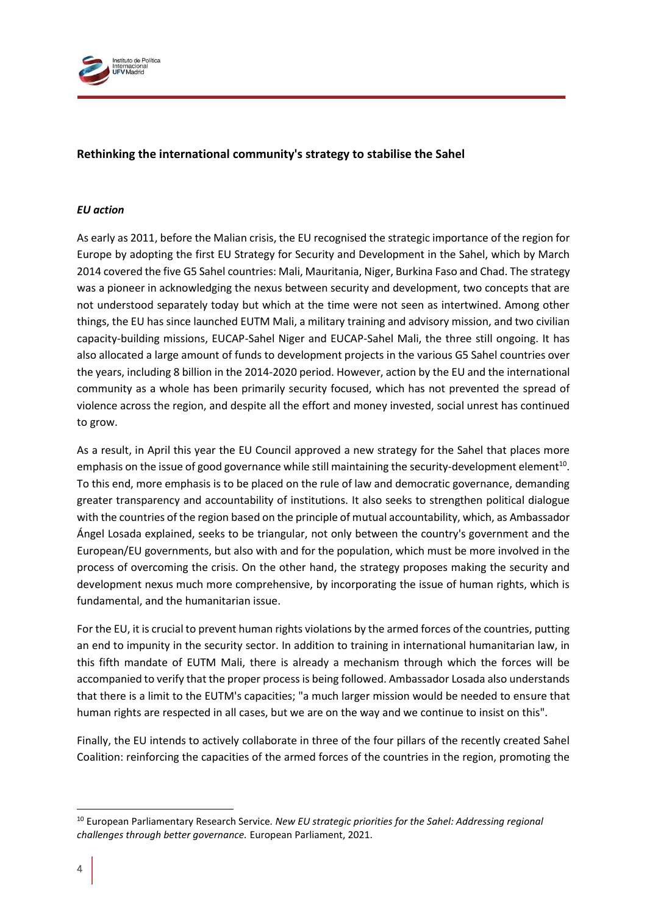

## **Rethinking the international community's strategy to stabilise the Sahel**

#### *EU action*

As early as 2011, before the Malian crisis, the EU recognised the strategic importance of the region for Europe by adopting the first EU Strategy for Security and Development in the Sahel, which by March 2014 covered the five G5 Sahel countries: Mali, Mauritania, Niger, Burkina Faso and Chad. The strategy was a pioneer in acknowledging the nexus between security and development, two concepts that are not understood separately today but which at the time were not seen as intertwined. Among other things, the EU has since launched EUTM Mali, a military training and advisory mission, and two civilian capacity-building missions, EUCAP-Sahel Niger and EUCAP-Sahel Mali, the three still ongoing. It has also allocated a large amount of funds to development projects in the various G5 Sahel countries over the years, including 8 billion in the 2014-2020 period. However, action by the EU and the international community as a whole has been primarily security focused, which has not prevented the spread of violence across the region, and despite all the effort and money invested, social unrest has continued to grow.

As a result, in April this year the EU Council approved a new strategy for the Sahel that places more emphasis on the issue of good governance while still maintaining the security-development element<sup>10</sup>. To this end, more emphasis is to be placed on the rule of law and democratic governance, demanding greater transparency and accountability of institutions. It also seeks to strengthen political dialogue with the countries of the region based on the principle of mutual accountability, which, as Ambassador Ángel Losada explained, seeks to be triangular, not only between the country's government and the European/EU governments, but also with and for the population, which must be more involved in the process of overcoming the crisis. On the other hand, the strategy proposes making the security and development nexus much more comprehensive, by incorporating the issue of human rights, which is fundamental, and the humanitarian issue.

For the EU, it is crucial to prevent human rights violations by the armed forces of the countries, putting an end to impunity in the security sector. In addition to training in international humanitarian law, in this fifth mandate of EUTM Mali, there is already a mechanism through which the forces will be accompanied to verify that the proper process is being followed. Ambassador Losada also understands that there is a limit to the EUTM's capacities; "a much larger mission would be needed to ensure that human rights are respected in all cases, but we are on the way and we continue to insist on this".

Finally, the EU intends to actively collaborate in three of the four pillars of the recently created Sahel Coalition: reinforcing the capacities of the armed forces of the countries in the region, promoting the

<sup>10</sup> European Parliamentary Research Service*. New EU strategic priorities for the Sahel: Addressing regional challenges through better governance.* European Parliament, 2021.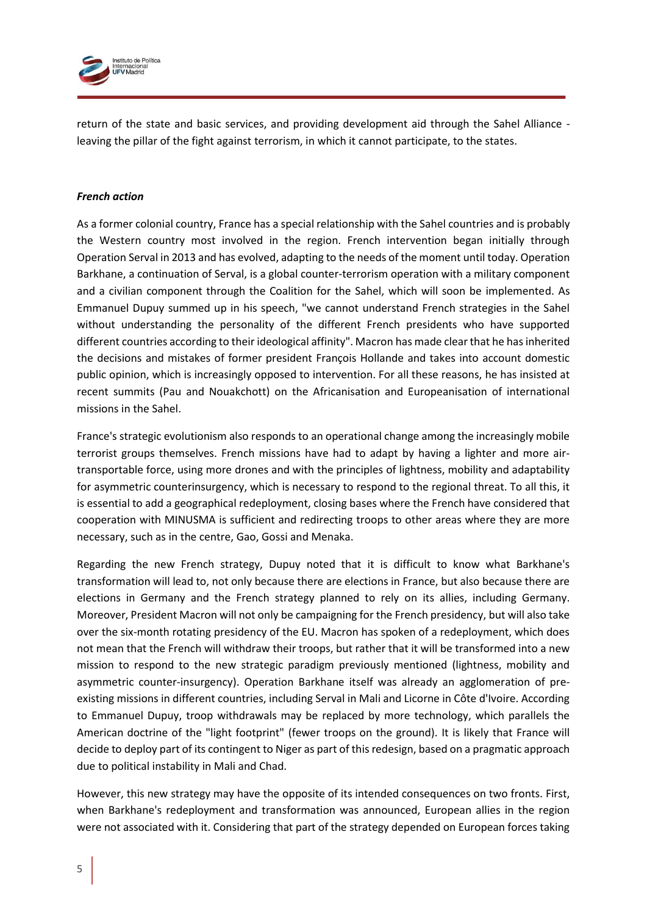

return of the state and basic services, and providing development aid through the Sahel Alliance leaving the pillar of the fight against terrorism, in which it cannot participate, to the states.

#### *French action*

As a former colonial country, France has a special relationship with the Sahel countries and is probably the Western country most involved in the region. French intervention began initially through Operation Serval in 2013 and has evolved, adapting to the needs of the moment until today. Operation Barkhane, a continuation of Serval, is a global counter-terrorism operation with a military component and a civilian component through the Coalition for the Sahel, which will soon be implemented. As Emmanuel Dupuy summed up in his speech, "we cannot understand French strategies in the Sahel without understanding the personality of the different French presidents who have supported different countries according to their ideological affinity". Macron has made clear that he has inherited the decisions and mistakes of former president François Hollande and takes into account domestic public opinion, which is increasingly opposed to intervention. For all these reasons, he has insisted at recent summits (Pau and Nouakchott) on the Africanisation and Europeanisation of international missions in the Sahel.

France's strategic evolutionism also responds to an operational change among the increasingly mobile terrorist groups themselves. French missions have had to adapt by having a lighter and more airtransportable force, using more drones and with the principles of lightness, mobility and adaptability for asymmetric counterinsurgency, which is necessary to respond to the regional threat. To all this, it is essential to add a geographical redeployment, closing bases where the French have considered that cooperation with MINUSMA is sufficient and redirecting troops to other areas where they are more necessary, such as in the centre, Gao, Gossi and Menaka.

Regarding the new French strategy, Dupuy noted that it is difficult to know what Barkhane's transformation will lead to, not only because there are elections in France, but also because there are elections in Germany and the French strategy planned to rely on its allies, including Germany. Moreover, President Macron will not only be campaigning for the French presidency, but will also take over the six-month rotating presidency of the EU. Macron has spoken of a redeployment, which does not mean that the French will withdraw their troops, but rather that it will be transformed into a new mission to respond to the new strategic paradigm previously mentioned (lightness, mobility and asymmetric counter-insurgency). Operation Barkhane itself was already an agglomeration of preexisting missions in different countries, including Serval in Mali and Licorne in Côte d'Ivoire. According to Emmanuel Dupuy, troop withdrawals may be replaced by more technology, which parallels the American doctrine of the "light footprint" (fewer troops on the ground). It is likely that France will decide to deploy part of its contingent to Niger as part of this redesign, based on a pragmatic approach due to political instability in Mali and Chad.

However, this new strategy may have the opposite of its intended consequences on two fronts. First, when Barkhane's redeployment and transformation was announced, European allies in the region were not associated with it. Considering that part of the strategy depended on European forces taking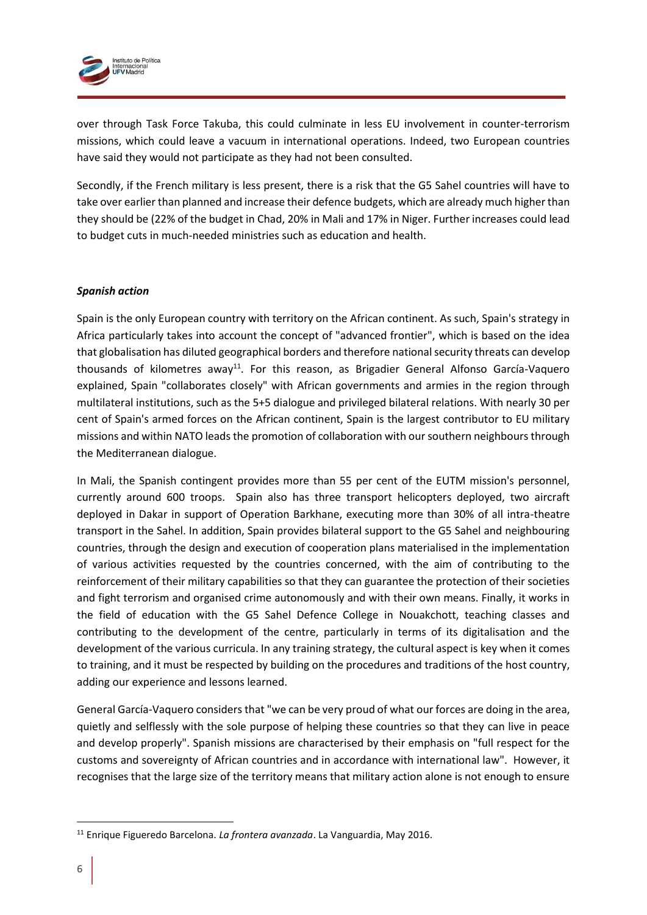

over through Task Force Takuba, this could culminate in less EU involvement in counter-terrorism missions, which could leave a vacuum in international operations. Indeed, two European countries have said they would not participate as they had not been consulted.

Secondly, if the French military is less present, there is a risk that the G5 Sahel countries will have to take over earlier than planned and increase their defence budgets, which are already much higher than they should be (22% of the budget in Chad, 20% in Mali and 17% in Niger. Further increases could lead to budget cuts in much-needed ministries such as education and health.

#### *Spanish action*

Spain is the only European country with territory on the African continent. As such, Spain's strategy in Africa particularly takes into account the concept of "advanced frontier", which is based on the idea that globalisation has diluted geographical borders and therefore national security threats can develop thousands of kilometres away<sup>11</sup>. For this reason, as Brigadier General Alfonso García-Vaquero explained, Spain "collaborates closely" with African governments and armies in the region through multilateral institutions, such as the 5+5 dialogue and privileged bilateral relations. With nearly 30 per cent of Spain's armed forces on the African continent, Spain is the largest contributor to EU military missions and within NATO leads the promotion of collaboration with our southern neighbours through the Mediterranean dialogue.

In Mali, the Spanish contingent provides more than 55 per cent of the EUTM mission's personnel, currently around 600 troops. Spain also has three transport helicopters deployed, two aircraft deployed in Dakar in support of Operation Barkhane, executing more than 30% of all intra-theatre transport in the Sahel. In addition, Spain provides bilateral support to the G5 Sahel and neighbouring countries, through the design and execution of cooperation plans materialised in the implementation of various activities requested by the countries concerned, with the aim of contributing to the reinforcement of their military capabilities so that they can guarantee the protection of their societies and fight terrorism and organised crime autonomously and with their own means. Finally, it works in the field of education with the G5 Sahel Defence College in Nouakchott, teaching classes and contributing to the development of the centre, particularly in terms of its digitalisation and the development of the various curricula. In any training strategy, the cultural aspect is key when it comes to training, and it must be respected by building on the procedures and traditions of the host country, adding our experience and lessons learned.

General García-Vaquero considers that "we can be very proud of what our forces are doing in the area, quietly and selflessly with the sole purpose of helping these countries so that they can live in peace and develop properly". Spanish missions are characterised by their emphasis on "full respect for the customs and sovereignty of African countries and in accordance with international law". However, it recognises that the large size of the territory means that military action alone is not enough to ensure

<sup>11</sup> Enrique Figueredo Barcelona. *La frontera avanzada*. La Vanguardia, May 2016.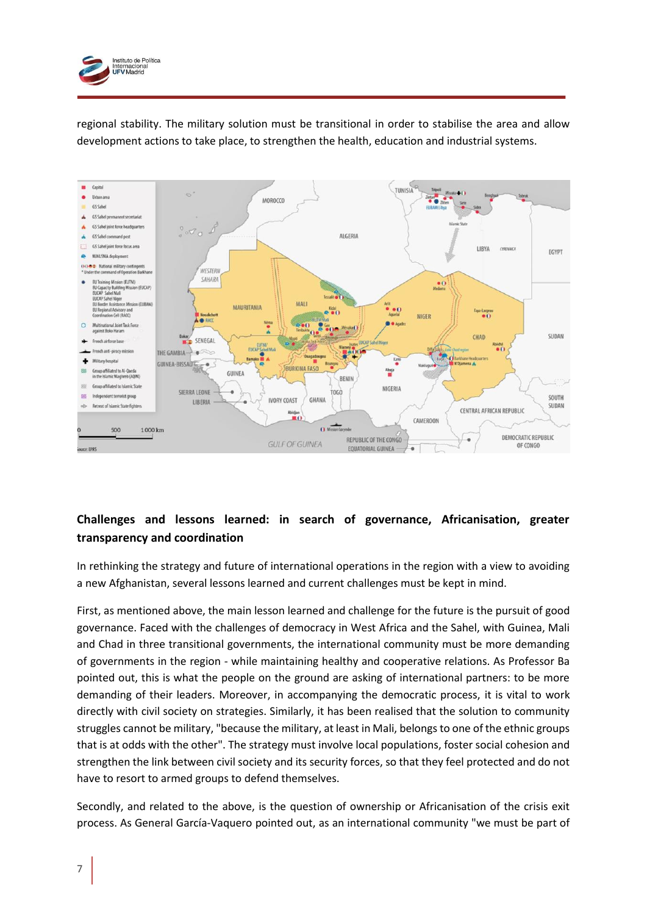

regional stability. The military solution must be transitional in order to stabilise the area and allow development actions to take place, to strengthen the health, education and industrial systems.



# **Challenges and lessons learned: in search of governance, Africanisation, greater transparency and coordination**

In rethinking the strategy and future of international operations in the region with a view to avoiding a new Afghanistan, several lessons learned and current challenges must be kept in mind.

First, as mentioned above, the main lesson learned and challenge for the future is the pursuit of good governance. Faced with the challenges of democracy in West Africa and the Sahel, with Guinea, Mali and Chad in three transitional governments, the international community must be more demanding of governments in the region - while maintaining healthy and cooperative relations. As Professor Ba pointed out, this is what the people on the ground are asking of international partners: to be more demanding of their leaders. Moreover, in accompanying the democratic process, it is vital to work directly with civil society on strategies. Similarly, it has been realised that the solution to community struggles cannot be military, "because the military, at least in Mali, belongs to one of the ethnic groups that is at odds with the other". The strategy must involve local populations, foster social cohesion and strengthen the link between civil society and its security forces, so that they feel protected and do not have to resort to armed groups to defend themselves.

Secondly, and related to the above, is the question of ownership or Africanisation of the crisis exit process. As General García-Vaquero pointed out, as an international community "we must be part of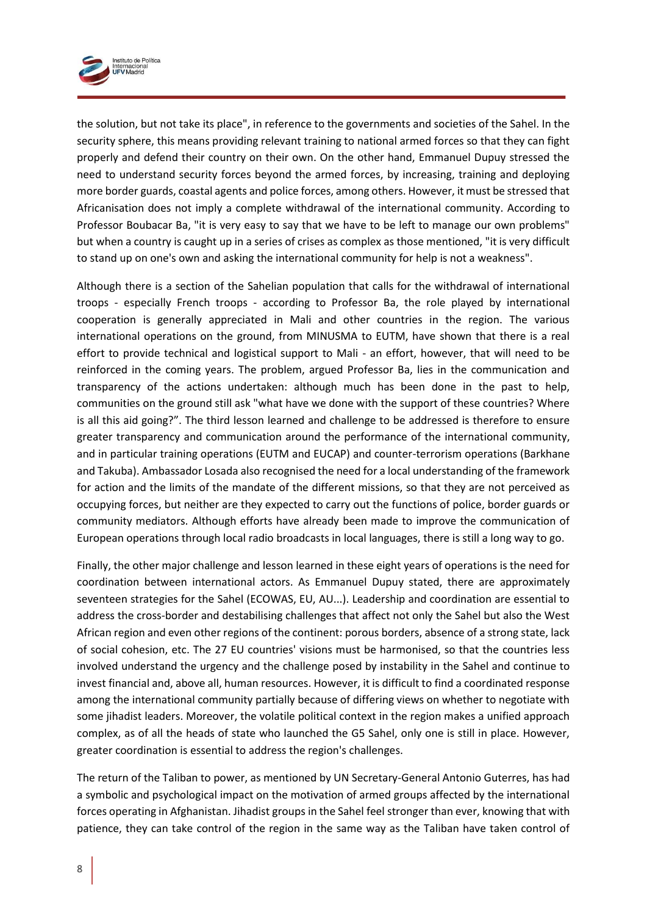

the solution, but not take its place", in reference to the governments and societies of the Sahel. In the security sphere, this means providing relevant training to national armed forces so that they can fight properly and defend their country on their own. On the other hand, Emmanuel Dupuy stressed the need to understand security forces beyond the armed forces, by increasing, training and deploying more border guards, coastal agents and police forces, among others. However, it must be stressed that Africanisation does not imply a complete withdrawal of the international community. According to Professor Boubacar Ba, "it is very easy to say that we have to be left to manage our own problems" but when a country is caught up in a series of crises as complex as those mentioned, "it is very difficult to stand up on one's own and asking the international community for help is not a weakness".

Although there is a section of the Sahelian population that calls for the withdrawal of international troops - especially French troops - according to Professor Ba, the role played by international cooperation is generally appreciated in Mali and other countries in the region. The various international operations on the ground, from MINUSMA to EUTM, have shown that there is a real effort to provide technical and logistical support to Mali - an effort, however, that will need to be reinforced in the coming years. The problem, argued Professor Ba, lies in the communication and transparency of the actions undertaken: although much has been done in the past to help, communities on the ground still ask "what have we done with the support of these countries? Where is all this aid going?". The third lesson learned and challenge to be addressed is therefore to ensure greater transparency and communication around the performance of the international community, and in particular training operations (EUTM and EUCAP) and counter-terrorism operations (Barkhane and Takuba). Ambassador Losada also recognised the need for a local understanding of the framework for action and the limits of the mandate of the different missions, so that they are not perceived as occupying forces, but neither are they expected to carry out the functions of police, border guards or community mediators. Although efforts have already been made to improve the communication of European operations through local radio broadcasts in local languages, there is still a long way to go.

Finally, the other major challenge and lesson learned in these eight years of operations is the need for coordination between international actors. As Emmanuel Dupuy stated, there are approximately seventeen strategies for the Sahel (ECOWAS, EU, AU...). Leadership and coordination are essential to address the cross-border and destabilising challenges that affect not only the Sahel but also the West African region and even other regions of the continent: porous borders, absence of a strong state, lack of social cohesion, etc. The 27 EU countries' visions must be harmonised, so that the countries less involved understand the urgency and the challenge posed by instability in the Sahel and continue to invest financial and, above all, human resources. However, it is difficult to find a coordinated response among the international community partially because of differing views on whether to negotiate with some jihadist leaders. Moreover, the volatile political context in the region makes a unified approach complex, as of all the heads of state who launched the G5 Sahel, only one is still in place. However, greater coordination is essential to address the region's challenges.

The return of the Taliban to power, as mentioned by UN Secretary-General Antonio Guterres, has had a symbolic and psychological impact on the motivation of armed groups affected by the international forces operating in Afghanistan. Jihadist groups in the Sahel feel stronger than ever, knowing that with patience, they can take control of the region in the same way as the Taliban have taken control of